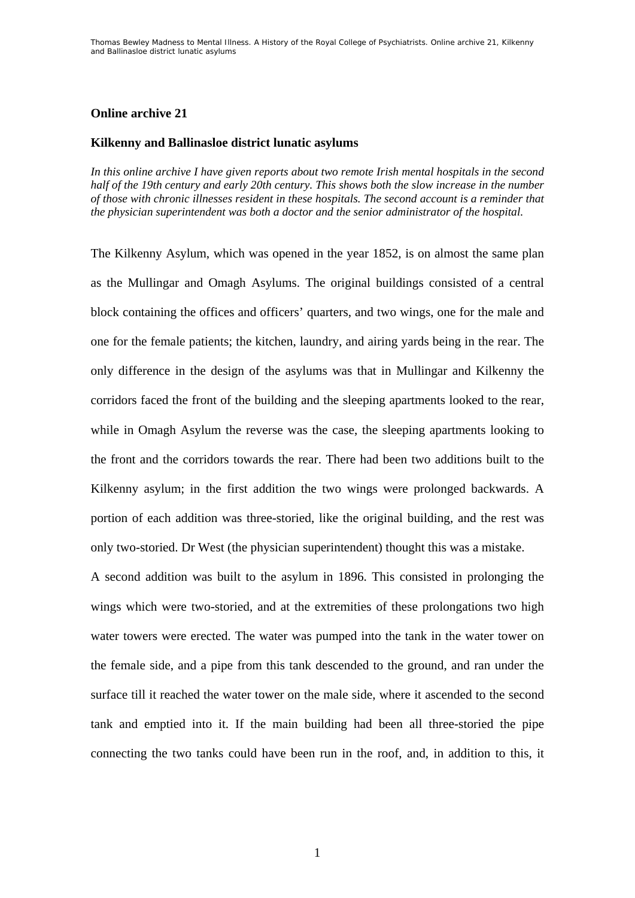## **Online archive 21**

## **Kilkenny and Ballinasloe district lunatic asylums**

*In this online archive I have given reports about two remote Irish mental hospitals in the second half of the 19th century and early 20th century. This shows both the slow increase in the number of those with chronic illnesses resident in these hospitals. The second account is a reminder that the physician superintendent was both a doctor and the senior administrator of the hospital.* 

The Kilkenny Asylum, which was opened in the year 1852, is on almost the same plan as the Mullingar and Omagh Asylums. The original buildings consisted of a central block containing the offices and officers' quarters, and two wings, one for the male and one for the female patients; the kitchen, laundry, and airing yards being in the rear. The only difference in the design of the asylums was that in Mullingar and Kilkenny the corridors faced the front of the building and the sleeping apartments looked to the rear, while in Omagh Asylum the reverse was the case, the sleeping apartments looking to the front and the corridors towards the rear. There had been two additions built to the Kilkenny asylum; in the first addition the two wings were prolonged backwards. A portion of each addition was three-storied, like the original building, and the rest was only two-storied. Dr West (the physician superintendent) thought this was a mistake.

A second addition was built to the asylum in 1896. This consisted in prolonging the wings which were two-storied, and at the extremities of these prolongations two high water towers were erected. The water was pumped into the tank in the water tower on the female side, and a pipe from this tank descended to the ground, and ran under the surface till it reached the water tower on the male side, where it ascended to the second tank and emptied into it. If the main building had been all three-storied the pipe connecting the two tanks could have been run in the roof, and, in addition to this, it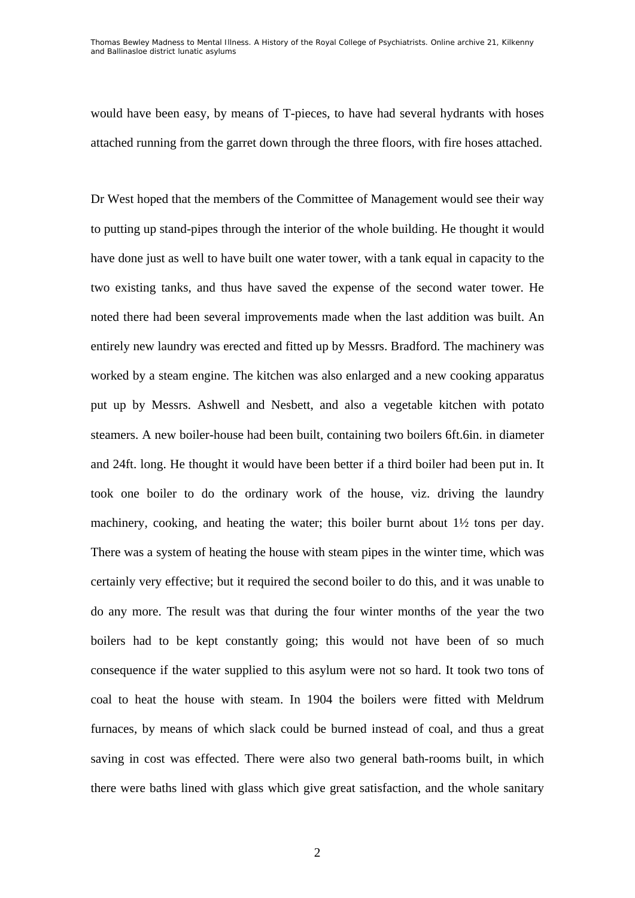Thomas Bewley *Madness to Mental Illness. A History of the Royal College of Psychiatrists*. Online archive 21, *Kilkenny and Ballinasloe district lunatic asylums*

would have been easy, by means of T-pieces, to have had several hydrants with hoses attached running from the garret down through the three floors, with fire hoses attached.

Dr West hoped that the members of the Committee of Management would see their way to putting up stand-pipes through the interior of the whole building. He thought it would have done just as well to have built one water tower, with a tank equal in capacity to the two existing tanks, and thus have saved the expense of the second water tower. He noted there had been several improvements made when the last addition was built. An entirely new laundry was erected and fitted up by Messrs. Bradford. The machinery was worked by a steam engine. The kitchen was also enlarged and a new cooking apparatus put up by Messrs. Ashwell and Nesbett, and also a vegetable kitchen with potato steamers. A new boiler-house had been built, containing two boilers 6ft.6in. in diameter and 24ft. long. He thought it would have been better if a third boiler had been put in. It took one boiler to do the ordinary work of the house, viz. driving the laundry machinery, cooking, and heating the water; this boiler burnt about 1½ tons per day. There was a system of heating the house with steam pipes in the winter time, which was certainly very effective; but it required the second boiler to do this, and it was unable to do any more. The result was that during the four winter months of the year the two boilers had to be kept constantly going; this would not have been of so much consequence if the water supplied to this asylum were not so hard. It took two tons of coal to heat the house with steam. In 1904 the boilers were fitted with Meldrum furnaces, by means of which slack could be burned instead of coal, and thus a great saving in cost was effected. There were also two general bath-rooms built, in which there were baths lined with glass which give great satisfaction, and the whole sanitary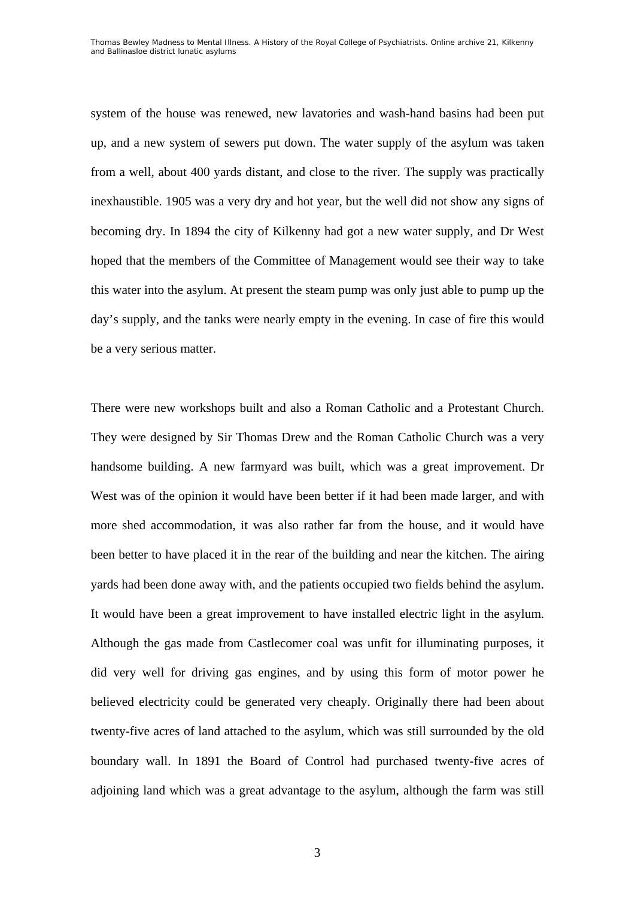system of the house was renewed, new lavatories and wash-hand basins had been put up, and a new system of sewers put down. The water supply of the asylum was taken from a well, about 400 yards distant, and close to the river. The supply was practically inexhaustible. 1905 was a very dry and hot year, but the well did not show any signs of becoming dry. In 1894 the city of Kilkenny had got a new water supply, and Dr West hoped that the members of the Committee of Management would see their way to take this water into the asylum. At present the steam pump was only just able to pump up the day's supply, and the tanks were nearly empty in the evening. In case of fire this would be a very serious matter.

There were new workshops built and also a Roman Catholic and a Protestant Church. They were designed by Sir Thomas Drew and the Roman Catholic Church was a very handsome building. A new farmyard was built, which was a great improvement. Dr West was of the opinion it would have been better if it had been made larger, and with more shed accommodation, it was also rather far from the house, and it would have been better to have placed it in the rear of the building and near the kitchen. The airing yards had been done away with, and the patients occupied two fields behind the asylum. It would have been a great improvement to have installed electric light in the asylum. Although the gas made from Castlecomer coal was unfit for illuminating purposes, it did very well for driving gas engines, and by using this form of motor power he believed electricity could be generated very cheaply. Originally there had been about twenty-five acres of land attached to the asylum, which was still surrounded by the old boundary wall. In 1891 the Board of Control had purchased twenty-five acres of adjoining land which was a great advantage to the asylum, although the farm was still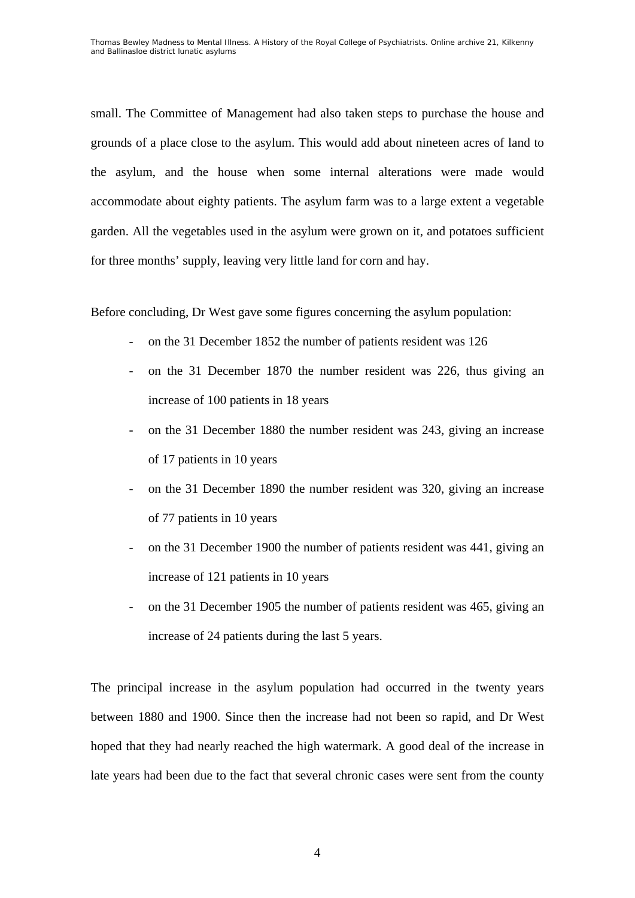small. The Committee of Management had also taken steps to purchase the house and grounds of a place close to the asylum. This would add about nineteen acres of land to the asylum, and the house when some internal alterations were made would accommodate about eighty patients. The asylum farm was to a large extent a vegetable garden. All the vegetables used in the asylum were grown on it, and potatoes sufficient for three months' supply, leaving very little land for corn and hay.

Before concluding, Dr West gave some figures concerning the asylum population:

- on the 31 December 1852 the number of patients resident was 126
- on the 31 December 1870 the number resident was 226, thus giving an increase of 100 patients in 18 years
- on the 31 December 1880 the number resident was 243, giving an increase of 17 patients in 10 years
- on the 31 December 1890 the number resident was 320, giving an increase of 77 patients in 10 years
- on the 31 December 1900 the number of patients resident was 441, giving an increase of 121 patients in 10 years
- on the 31 December 1905 the number of patients resident was 465, giving an increase of 24 patients during the last 5 years.

The principal increase in the asylum population had occurred in the twenty years between 1880 and 1900. Since then the increase had not been so rapid, and Dr West hoped that they had nearly reached the high watermark. A good deal of the increase in late years had been due to the fact that several chronic cases were sent from the county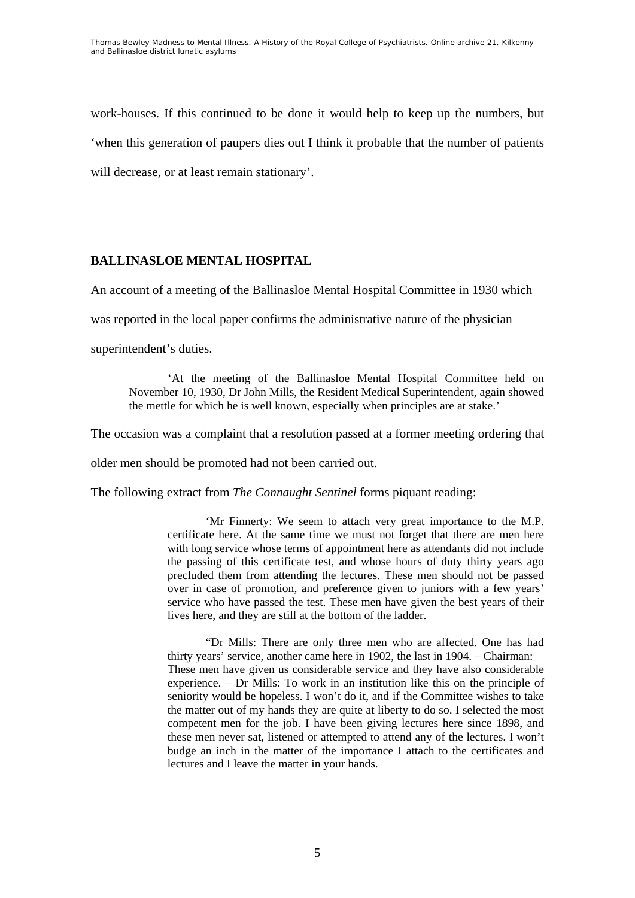work-houses. If this continued to be done it would help to keep up the numbers, but 'when this generation of paupers dies out I think it probable that the number of patients will decrease, or at least remain stationary'.

## **BALLINASLOE MENTAL HOSPITAL**

An account of a meeting of the Ballinasloe Mental Hospital Committee in 1930 which

was reported in the local paper confirms the administrative nature of the physician

superintendent's duties.

'At the meeting of the Ballinasloe Mental Hospital Committee held on November 10, 1930, Dr John Mills, the Resident Medical Superintendent, again showed the mettle for which he is well known, especially when principles are at stake.'

The occasion was a complaint that a resolution passed at a former meeting ordering that

older men should be promoted had not been carried out.

The following extract from *The Connaught Sentinel* forms piquant reading:

 'Mr Finnerty: We seem to attach very great importance to the M.P. certificate here. At the same time we must not forget that there are men here with long service whose terms of appointment here as attendants did not include the passing of this certificate test, and whose hours of duty thirty years ago precluded them from attending the lectures. These men should not be passed over in case of promotion, and preference given to juniors with a few years' service who have passed the test. These men have given the best years of their lives here, and they are still at the bottom of the ladder.

 "Dr Mills: There are only three men who are affected. One has had thirty years' service, another came here in 1902, the last in 1904. – Chairman: These men have given us considerable service and they have also considerable experience. – Dr Mills: To work in an institution like this on the principle of seniority would be hopeless. I won't do it, and if the Committee wishes to take the matter out of my hands they are quite at liberty to do so. I selected the most competent men for the job. I have been giving lectures here since 1898, and these men never sat, listened or attempted to attend any of the lectures. I won't budge an inch in the matter of the importance I attach to the certificates and lectures and I leave the matter in your hands.